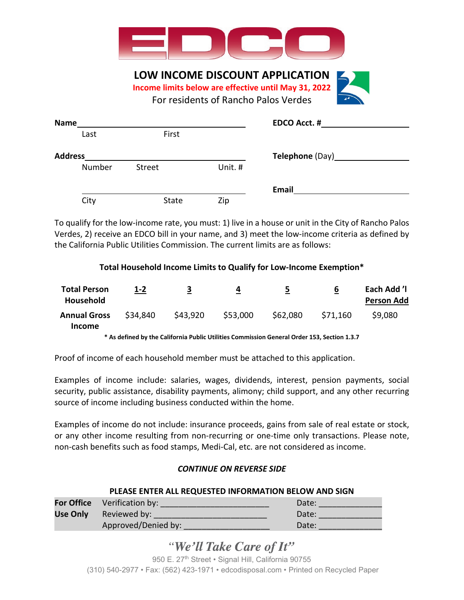

**LOW INCOME DISCOUNT APPLICATION**

**Income limits below are effective until May 31, 2022** 

For residents of Rancho Palos Verdes

| <b>Name</b>    |               |         | <b>EDCO Acct. #</b>      |
|----------------|---------------|---------|--------------------------|
| Last           | First         |         |                          |
| <b>Address</b> |               |         | Telephone (Day)_________ |
| Number         | <b>Street</b> | Unit. # |                          |
|                |               |         | <b>Email</b>             |
| City           | State         | Zip     |                          |

To qualify for the low-income rate, you must: 1) live in a house or unit in the City of Rancho Palos Verdes, 2) receive an EDCO bill in your name, and 3) meet the low-income criteria as defined by the California Public Utilities Commission. The current limits are as follows:

## **Total Household Income Limits to Qualify for Low-Income Exemption\***

| <b>Total Person</b><br><b>Household</b>                                                       | $1 - 2$  | 3        | 4        | כ        | b        | Each Add 'I<br><b>Person Add</b> |
|-----------------------------------------------------------------------------------------------|----------|----------|----------|----------|----------|----------------------------------|
| <b>Annual Gross</b><br><b>Income</b>                                                          | \$34,840 | \$43.920 | \$53,000 | \$62,080 | \$71,160 | \$9,080                          |
| * As defined by the California Public Utilities Commission General Order 153, Section 1, 3, 7 |          |          |          |          |          |                                  |

the California Public Utilities Commission General Order 153, Section 1<sup>.</sup>

Proof of income of each household member must be attached to this application.

Examples of income include: salaries, wages, dividends, interest, pension payments, social security, public assistance, disability payments, alimony; child support, and any other recurring source of income including business conducted within the home.

Examples of income do not include: insurance proceeds, gains from sale of real estate or stock, or any other income resulting from non-recurring or one-time only transactions. Please note, non-cash benefits such as food stamps, Medi-Cal, etc. are not considered as income.

## *CONTINUE ON REVERSE SIDE*

## **PLEASE ENTER ALL REQUESTED INFORMATION BELOW AND SIGN**

| <b>For Office</b> Verification by: | Date: |
|------------------------------------|-------|
| <b>Use Only</b> Reviewed by:       | Date: |
| Approved/Denied by:                | Date: |

# "We'll Take Care of It"

950 E. 27<sup>th</sup> Street • Signal Hill, California 90755 (310) 540-2977 • Fax: (562) 423-1971 • edcodisposal.com • Printed on Recycled Paper